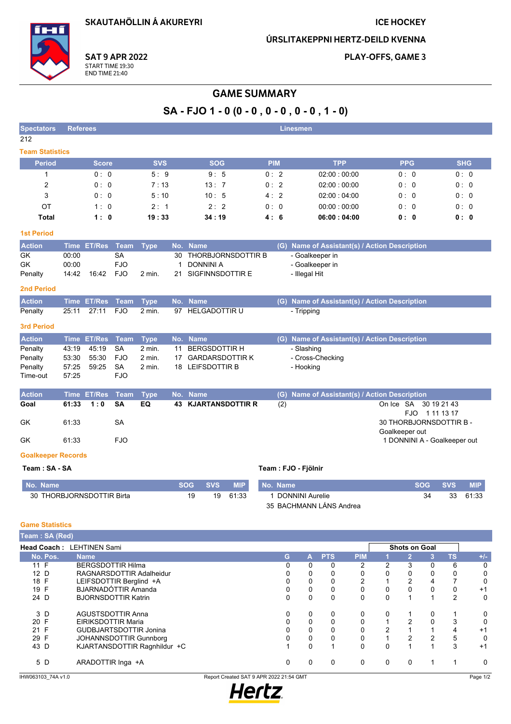**SKAUTAHÖLLIN Á AKUREYRI** 

#### **ICE HOCKEY**

ÚRSLITAKEPPNI HERTZ-DEILD KVENNA

**SAT 9 APR 2022** START TIME 19:30<br>END TIME 21:40

PLAY-OFFS, GAME 3

## **GAME SUMMARY**

# SA - FJO 1 - 0 (0 - 0 , 0 - 0 , 0 - 0 , 1 - 0)

| <b>Spectators</b>           |                | <b>Referees</b><br><b>Linesmen</b> |                         |             |                    |                                            |            |            |     |                                               |                                |             |            |
|-----------------------------|----------------|------------------------------------|-------------------------|-------------|--------------------|--------------------------------------------|------------|------------|-----|-----------------------------------------------|--------------------------------|-------------|------------|
| 212                         |                |                                    |                         |             |                    |                                            |            |            |     |                                               |                                |             |            |
| <b>Team Statistics</b>      |                |                                    |                         |             |                    |                                            |            |            |     |                                               |                                |             |            |
| <b>Period</b>               |                | <b>Score</b>                       |                         | <b>SVS</b>  |                    | <b>SOG</b>                                 |            | <b>PIM</b> |     | <b>TPP</b>                                    | <b>PPG</b>                     |             | <b>SHG</b> |
| $\mathbf{1}$                |                | 0:0                                |                         | 5:9         |                    | 9:5                                        |            | 0:2        |     | 02:00:00:00                                   | 0:0                            |             | 0:0        |
| $\overline{2}$              |                | 0:0                                |                         | 7:13        |                    | 13:7                                       |            | 0:2        |     | 02:00:00:00                                   | 0:0                            |             | 0:0        |
| 3                           |                | 0:0                                |                         | 5:10        |                    | 10:5                                       |            | 4:2        |     | 02:00:04:00                                   | 0:0                            |             | 0: 0       |
| OT                          |                | 1:0                                |                         | 2:1         |                    | 2:2                                        |            | 0:0        |     | 00:00:00:00                                   | 0:0                            |             | 0:0        |
| <b>Total</b>                |                | 1:0                                |                         | 19:33       |                    | 34:19                                      |            | 4:6        |     | 06:00:04:00                                   | 0:0                            |             | 0: 0       |
| <b>1st Period</b>           |                |                                    |                         |             |                    |                                            |            |            |     |                                               |                                |             |            |
| <b>Action</b>               |                | Time ET/Res Team                   |                         | <b>Type</b> |                    | No. Name                                   |            |            |     | (G) Name of Assistant(s) / Action Description |                                |             |            |
| <b>GK</b>                   | 00:00          |                                    | <b>SA</b>               |             | 30                 | <b>THORBJORNSDOTTIR B</b>                  |            |            |     | - Goalkeeper in                               |                                |             |            |
| GK                          | 00:00          | 16:42                              | <b>FJO</b>              |             | $\mathbf{1}$<br>21 | <b>DONNINI A</b><br>SIGFINNSDOTTIR E       |            |            |     | - Goalkeeper in                               |                                |             |            |
| Penalty                     | 14:42          |                                    | <b>FJO</b>              | 2 min.      |                    |                                            |            |            |     | - Illegal Hit                                 |                                |             |            |
| <b>2nd Period</b>           |                |                                    |                         |             |                    |                                            |            |            |     |                                               |                                |             |            |
| <b>Action</b>               |                | Time ET/Res                        | <b>Team</b>             | <b>Type</b> |                    | No. Name                                   |            |            | (G) | Name of Assistant(s) / Action Description     |                                |             |            |
| Penalty                     | 25:11          | 27:11                              | <b>FJO</b>              | $2$ min.    |                    | 97 HELGADOTTIR U                           |            |            |     | - Tripping                                    |                                |             |            |
| <b>3rd Period</b>           |                |                                    |                         |             |                    |                                            |            |            |     |                                               |                                |             |            |
| <b>Action</b>               |                | Time ET/Res                        | Team                    | <b>Type</b> |                    | No. Name                                   |            |            |     | (G) Name of Assistant(s) / Action Description |                                |             |            |
| Penalty                     | 43:19          | 45:19                              | <b>SA</b>               | $2$ min.    | 11                 | <b>BERGSDOTTIR H</b>                       |            |            |     | - Slashing                                    |                                |             |            |
| Penalty                     | 53:30          | 55:30<br>59:25                     | <b>FJO</b><br><b>SA</b> | 2 min.      | 17                 | <b>GARDARSDOTTIR K</b><br>18 LEIFSDOTTIR B |            |            |     | - Cross-Checking                              |                                |             |            |
| Penalty<br>Time-out         | 57:25<br>57:25 |                                    | <b>FJO</b>              | 2 min.      |                    |                                            |            |            |     | - Hooking                                     |                                |             |            |
|                             |                |                                    |                         |             |                    |                                            |            |            |     |                                               |                                |             |            |
| <b>Action</b>               | <b>Time</b>    | <b>ET/Res</b>                      | <b>Team</b>             | <b>Type</b> | No.                | <b>Name</b>                                |            |            | (G) | Name of Assistant(s) / Action Description     |                                |             |            |
| Goal                        | 61:33          | 1:0                                | <b>SA</b>               | EQ          | 43                 | <b>KJARTANSDOTTIR R</b>                    |            |            | (2) |                                               | On Ice SA                      | 30 19 21 43 |            |
| GK                          | 61.33          |                                    | <b>SA</b>               |             |                    |                                            |            |            |     |                                               | FJO.<br>30 THORBJORNSDOTTIR B- | 1 11 13 17  |            |
|                             |                |                                    |                         |             |                    |                                            |            |            |     |                                               | Goalkeeper out                 |             |            |
| <b>GK</b>                   | 61:33          |                                    | <b>FJO</b>              |             |                    |                                            |            |            |     |                                               | 1 DONNINI A - Goalkeeper out   |             |            |
| <b>Goalkeeper Records</b>   |                |                                    |                         |             |                    |                                            |            |            |     |                                               |                                |             |            |
| Team: SA - SA               |                |                                    |                         |             |                    |                                            |            |            |     | Team: FJO - Fjölnir                           |                                |             |            |
| No. Name                    |                |                                    |                         |             |                    | <b>SOG</b><br><b>SVS</b>                   | <b>MIP</b> | No. Name   |     |                                               | <b>SOG</b>                     | <b>SVS</b>  | <b>MIP</b> |
| 30 THORBJORNSDOTTIR Birta   |                |                                    |                         |             |                    | 19<br>19                                   | 61:33      |            |     | 1 DONNINI Aurelie                             | 34                             | 33          | 61:33      |
|                             |                |                                    |                         |             |                    |                                            |            |            |     | 35 BACHMANN LÁNS Andrea                       |                                |             |            |
| <b>Game Statistics</b>      |                |                                    |                         |             |                    |                                            |            |            |     |                                               |                                |             |            |
| Team: SA (Red)              |                |                                    |                         |             |                    |                                            |            |            |     |                                               |                                |             |            |
| Head Coach : I FHTINEN Sami |                |                                    |                         |             |                    |                                            |            |            |     |                                               | Shote on Goal                  |             |            |

| <b>Team : SA (Red)</b> |                               |                                         |          |            |            |             |                      |   |           |          |
|------------------------|-------------------------------|-----------------------------------------|----------|------------|------------|-------------|----------------------|---|-----------|----------|
|                        | Head Coach: LEHTINEN Sami     |                                         |          |            |            |             | <b>Shots on Goal</b> |   |           |          |
| No. Pos.               | <b>Name</b>                   | G                                       | A.       | <b>PTS</b> | <b>PIM</b> |             | $\overline{2}$       | 3 | <b>TS</b> | $+/-$    |
| 11 F                   | <b>BERGSDOTTIR Hilma</b>      | 0                                       | 0        | 0          | 2          | 2           | 3                    |   | 6         | 0        |
| 12 D                   | RAGNARSDOTTIR Adalheidur      | 0                                       | 0        | 0          | 0          | 0           | 0                    |   | 0         | 0        |
| 18 F                   | LEIFSDOTTIR Berglind +A       | 0                                       | 0        | 0          | 2          |             | $\overline{2}$       |   |           | 0        |
| 19 F                   | <b>BJARNADÓTTIR Amanda</b>    | 0                                       | 0        | 0          | 0          | 0           |                      |   | 0         | $+1$     |
| 24 D                   | <b>BJORNSDOTTIR Katrin</b>    | 0                                       | 0        | 0          | 0          | $\mathbf 0$ |                      |   | 2         | 0        |
| 3 D                    | <b>AGUSTSDOTTIR Anna</b>      | 0                                       | 0        | 0          | 0          | 0           |                      |   |           | 0        |
| 20 F                   | <b>EIRIKSDOTTIR Maria</b>     | $\Omega$                                | 0        | 0          | 0          |             | 2                    |   | 3         | 0        |
| 21 F                   | <b>GUDBJARTSDOTTIR Jonina</b> | 0                                       | 0        | 0          | 0          | 2           |                      |   | 4         | $+1$     |
| 29 F                   | <b>JOHANNSDOTTIR Gunnborg</b> | 0                                       | 0        | 0          | 0          |             | 2                    |   | 5         | 0        |
| 43 D                   | KJARTANSDOTTIR Ragnhildur +C  |                                         | $\Omega$ |            | $\Omega$   | $\Omega$    |                      |   | 3         | $+1$     |
| 5 D                    | ARADOTTIR Inga +A             | 0                                       | 0        | 0          | 0          | 0           | $\mathbf{0}$         |   |           | $\Omega$ |
| IHW063103 74A v1.0     |                               | Report Created SAT 9 APR 2022 21:54 GMT |          |            |            |             |                      |   |           | Page 1/2 |

IHW063103\_74A v1.0